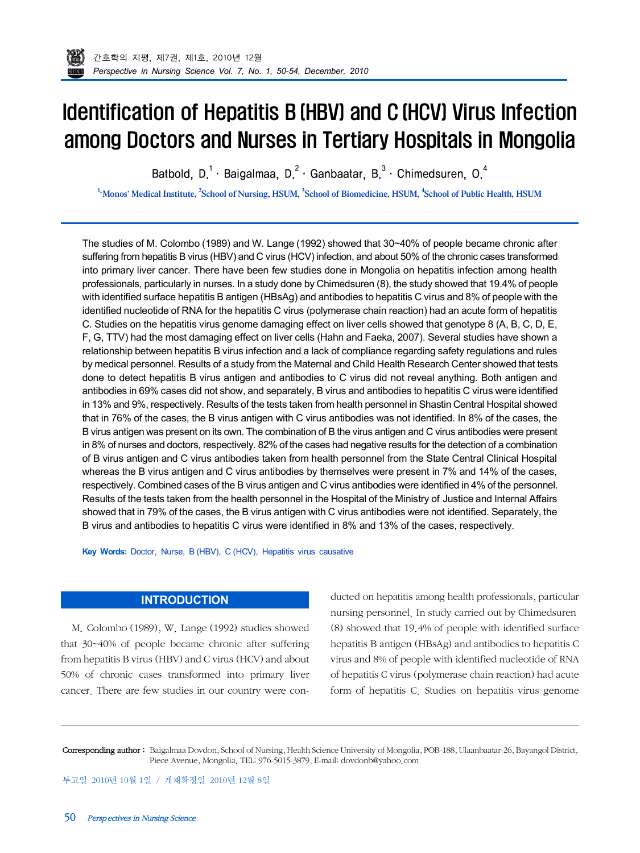

# Identification of Hepatitis B (HBV) and C (HCV) Virus Infection among Doctors and Nurses in Tertiary Hospitals in Mongolia

Batbold, D.<sup>1</sup> · Baigalmaa, D.<sup>2</sup> · Ganbaatar, B.<sup>3</sup> · Chimedsuren, O.<sup>4</sup>

<sup>1.</sup>Monos' Medical Institute, <sup>2</sup>School of Nursing, HSUM, <sup>3</sup>School of Biomedicine, HSUM, <sup>4</sup>School of Public Health, HSUM

The studies of M. Colombo (1989) and W. Lange (1992) showed that 30~40% of people became chronic after suffering from hepatitis B virus (HBV) and C virus (HCV) infection, and about 50% of the chronic cases transformed into primary liver cancer. There have been few studies done in Mongolia on hepatitis infection among health professionals, particularly in nurses. In a study done by Chimedsuren (8), the study showed that 19.4% of people with identified surface hepatitis B antigen (HBsAg) and antibodies to hepatitis C virus and 8% of people with the identified nucleotide of RNA for the hepatitis C virus (polymerase chain reaction) had an acute form of hepatitis C. Studies on the hepatitis virus genome damaging effect on liver cells showed that genotype 8 (A, B, C, D, E, F, G, TTV) had the most damaging effect on liver cells (Hahn and Faeka, 2007). Several studies have shown a relationship between hepatitis B virus infection and a lack of compliance regarding safety regulations and rules by medical personnel. Results of a study from the Maternal and Child Health Research Center showed that tests done to detect hepatitis B virus antigen and antibodies to C virus did not reveal anything. Both antigen and antibodies in 69% cases did not show, and separately, B virus and antibodies to hepatitis C virus were identified in 13% and 9%, respectively. Results of the tests taken from health personnel in Shastin Central Hospital showed that in 76% of the cases, the B virus antigen with C virus antibodies was not identified. In 8% of the cases, the B virus antigen was present on its own. The combination of B the virus antigen and C virus antibodies were present in 8% of nurses and doctors, respectively. 82% of the cases had negative results for the detection of a combination of B virus antigen and C virus antibodies taken from health personnel from the State Central Clinical Hospital whereas the B virus antigen and C virus antibodies by themselves were present in 7% and 14% of the cases, respectively. Combined cases of the B virus antigen and C virus antibodies were identified in 4% of the personnel. Results of the tests taken from the health personnel in the Hospital of the Ministry of Justice and Internal Affairs showed that in 79% of the cases, the B virus antigen with C virus antibodies were not identified. Separately, the B virus and antibodies to hepatitis C virus were identified in 8% and 13% of the cases, respectively.

**Key Words:** Doctor, Nurse, B (HBV), C (HCV), Hepatitis virus causative

## **INTRODUCTION**

M. Colombo (1989), W. Lange (1992) studies showed that 30~40% of people became chronic after suffering from hepatitis B virus (HBV) and C virus (HCV) and about 50% of chronic cases transformed into primary liver cancer. There are few studies in our country were conducted on hepatitis among health professionals, particular nursing personnel. In study carried out by Chimedsuren (8) showed that 19.4% of people with identified surface hepatitis B antigen (HBsAg) and antibodies to hepatitis C virus and 8% of people with identified nucleotide of RNA of hepatitis C virus (polymerase chain reaction) had acute form of hepatitis C. Studies on hepatitis virus genome

Corresponding author : Baigalmaa Dovdon, School of Nursing, Health Science University of Mongolia, POB-188, Ulaanbaatar-26, Bayangol District, Piece Avenue, Mongolia. TEL: 976-5015-3879, E-mail: dovdonb@yahoo.com

투고일 2010년 10월 1일 / 게재확정일 2010년 12월 8일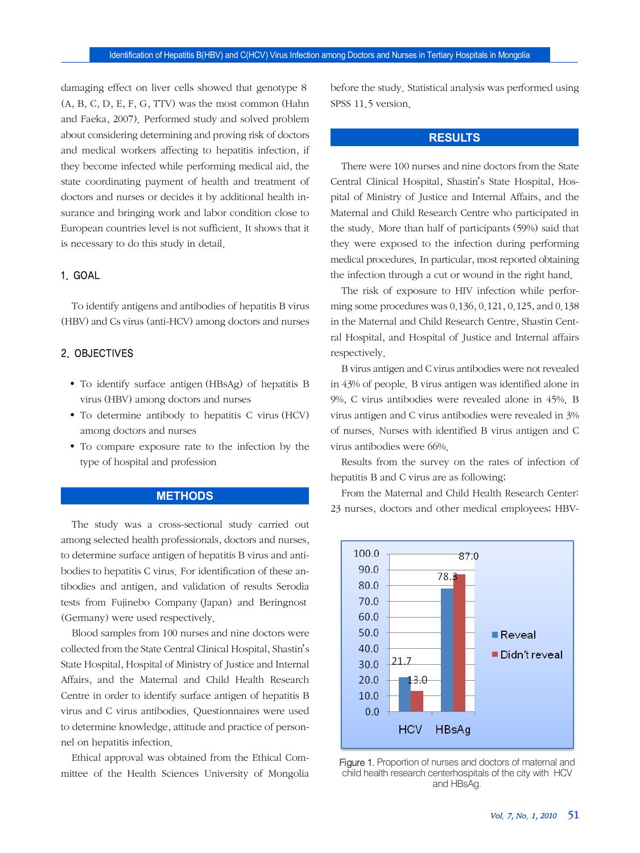damaging effect on liver cells showed that genotype 8 (A, B, C, D, E, F, G, TTV) was the most common (Hahn and Faeka, 2007). Performed study and solved problem about considering determining and proving risk of doctors and medical workers affecting to hepatitis infection, if they become infected while performing medical aid, the state coordinating payment of health and treatment of doctors and nurses or decides it by additional health insurance and bringing work and labor condition close to European countries level is not sufficient. It shows that it is necessary to do this study in detail.

#### 1. GOAL

To identify antigens and antibodies of hepatitis B virus (HBV) and Cs virus (anti-HCV) among doctors and nurses

### 2. OBJECTIVES

- To identify surface antigen (HBsAg) of hepatitis B virus (HBV) among doctors and nurses
- To determine antibody to hepatitis C virus (HCV) among doctors and nurses
- To compare exposure rate to the infection by the type of hospital and profession

### **METHODS**

The study was a cross-sectional study carried out among selected health professionals, doctors and nurses, to determine surface antigen of hepatitis B virus and antibodies to hepatitis C virus. For identification of these antibodies and antigen, and validation of results Serodia tests from Fujinebo Company (Japan) and Beringnost (Germany) were used respectively.

Blood samples from 100 nurses and nine doctors were collected from the State Central Clinical Hospital, Shastin's State Hospital, Hospital of Ministry of Justice and Internal Affairs, and the Maternal and Child Health Research Centre in order to identify surface antigen of hepatitis B virus and C virus antibodies. Questionnaires were used to determine knowledge, attitude and practice of personnel on hepatitis infection.

Ethical approval was obtained from the Ethical Committee of the Health Sciences University of Mongolia

before the study. Statistical analysis was performed using SPSS 11.5 version.

### **RESULTS**

There were 100 nurses and nine doctors from the State Central Clinical Hospital, Shastin's State Hospital, Hospital of Ministry of Justice and Internal Affairs, and the Maternal and Child Research Centre who participated in the study. More than half of participants (59%) said that they were exposed to the infection during performing medical procedures. In particular, most reported obtaining the infection through a cut or wound in the right hand.

The risk of exposure to HIV infection while performing some procedures was 0.136, 0.121, 0.125, and 0.138 in the Maternal and Child Research Centre, Shastin Central Hospital, and Hospital of Justice and Internal affairs respectively.

B virus antigen and C virus antibodies were not revealed in 43% of people. B virus antigen was identified alone in 9%, C virus antibodies were revealed alone in 45%. B virus antigen and C virus antibodies were revealed in 3% of nurses. Nurses with identified B virus antigen and C virus antibodies were 66%.

Results from the survey on the rates of infection of hepatitis B and C virus are as following;

From the Maternal and Child Health Research Center: 23 nurses, doctors and other medical employees; HBV-



Figure 1. Proportion of nurses and doctors of maternal and child health research centerhospitals of the city with HCV and HBsAg.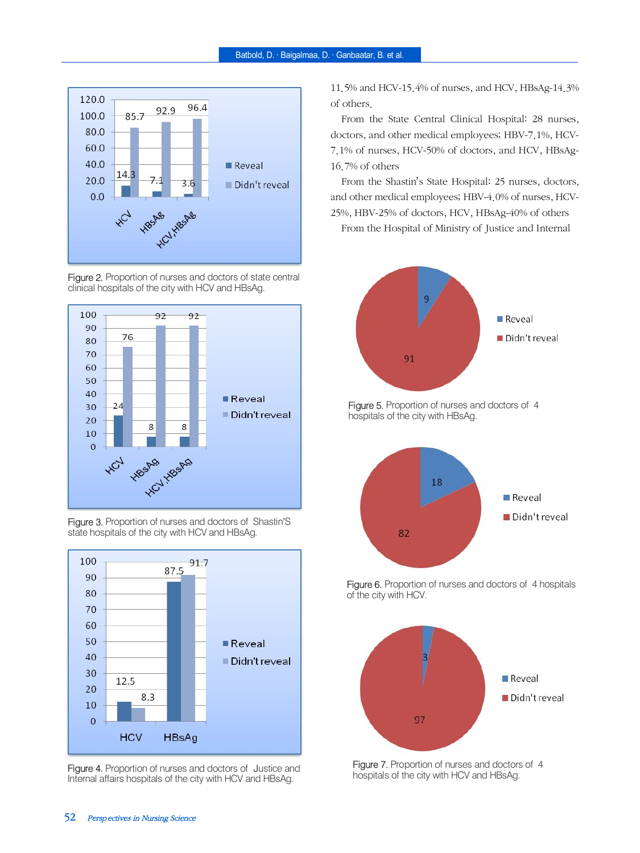





Figure 3. Proportion of nurses and doctors of Shastin'S state hospitals of the city with HCV and HBsAg.



Figure 4. Proportion of nurses and doctors of Justice and Internal affairs hospitals of the city with HCV and HBsAg.

11.5% and HCV-15.4% of nurses, and HCV, HBsAg-14.3% of others.

From the State Central Clinical Hospital: 28 nurses, doctors, and other medical employees; HBV-7.1%, HCV-7.1% of nurses, HCV-50% of doctors, and HCV, HBsAg-16.7% of others

From the Shastin's State Hospital: 25 nurses, doctors, and other medical employees; HBV-4.0% of nurses, HCV-25%, HBV-25% of doctors, HCV, HBsAg-40% of others

From the Hospital of Ministry of Justice and Internal



Figure 5. Proportion of nurses and doctors of 4 hospitals of the city with HBsAg.



Figure 6. Proportion of nurses and doctors of 4 hospitals of the city with HCV.



Figure 7. Proportion of nurses and doctors of 4 hospitals of the city with HCV and HBsAg.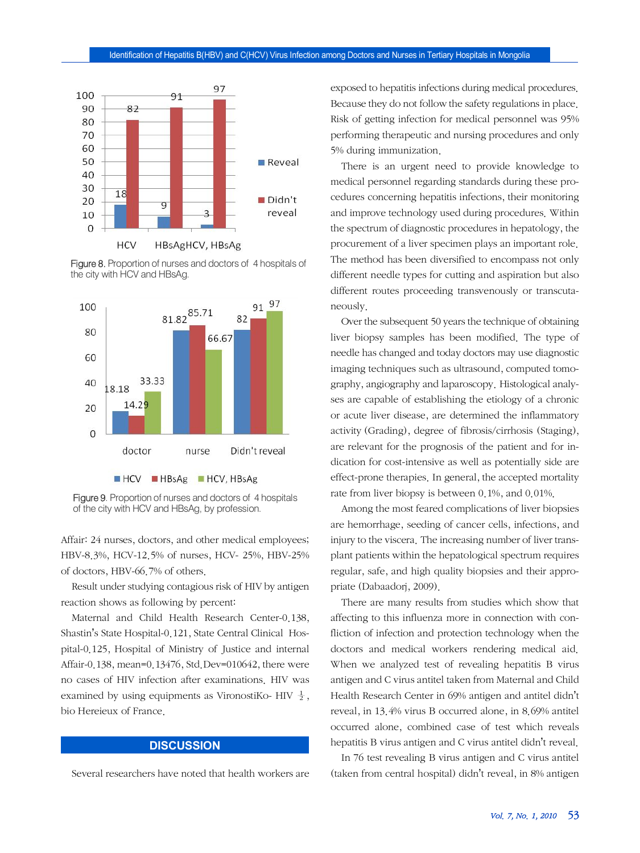

Figure 8. Proportion of nurses and doctors of 4 hospitals of the city with HCV and HBsAg.



Figure 9. Proportion of nurses and doctors of 4 hospitals of the city with HCV and HBsAg, by profession.

Affair: 24 nurses, doctors, and other medical employees; HBV-8.3%, HCV-12.5% of nurses, HCV- 25%, HBV-25% of doctors, HBV-66.7% of others.

Result under studying contagious risk of HIV by antigen reaction shows as following by percent:

Maternal and Child Health Research Center-0.138, Shastin's State Hospital-0.121, State Central Clinical Hospital-0.125, Hospital of Ministry of Justice and internal Affair-0.138, mean=0.13476, Std.Dev=010642, there were no cases of HIV infection after examinations. HIV was examined by using equipments as VironostiKo- HIV  $\frac{1}{2}$ , bio Hereieux of France.

#### **DISCUSSION**

Several researchers have noted that health workers are

exposed to hepatitis infections during medical procedures. Because they do not follow the safety regulations in place. Risk of getting infection for medical personnel was 95% performing therapeutic and nursing procedures and only 5% during immunization.

There is an urgent need to provide knowledge to medical personnel regarding standards during these procedures concerning hepatitis infections, their monitoring and improve technology used during procedures. Within the spectrum of diagnostic procedures in hepatology, the procurement of a liver specimen plays an important role. The method has been diversified to encompass not only different needle types for cutting and aspiration but also different routes proceeding transvenously or transcutaneously.

Over the subsequent 50 years the technique of obtaining liver biopsy samples has been modified. The type of needle has changed and today doctors may use diagnostic imaging techniques such as ultrasound, computed tomography, angiography and laparoscopy. Histological analyses are capable of establishing the etiology of a chronic or acute liver disease, are determined the inflammatory activity (Grading), degree of fibrosis/cirrhosis (Staging), are relevant for the prognosis of the patient and for indication for cost-intensive as well as potentially side are effect-prone therapies. In general, the accepted mortality rate from liver biopsy is between 0.1%, and 0.01%.

Among the most feared complications of liver biopsies are hemorrhage, seeding of cancer cells, infections, and injury to the viscera. The increasing number of liver transplant patients within the hepatological spectrum requires regular, safe, and high quality biopsies and their appropriate (Dabaadorj, 2009).

There are many results from studies which show that affecting to this influenza more in connection with confliction of infection and protection technology when the doctors and medical workers rendering medical aid. When we analyzed test of revealing hepatitis B virus antigen and C virus antitel taken from Maternal and Child Health Research Center in 69% antigen and antitel didn't reveal, in 13.4% virus B occurred alone, in 8.69% antitel occurred alone, combined case of test which reveals hepatitis B virus antigen and C virus antitel didn't reveal.

In 76 test revealing B virus antigen and C virus antitel (taken from central hospital) didn't reveal, in 8% antigen